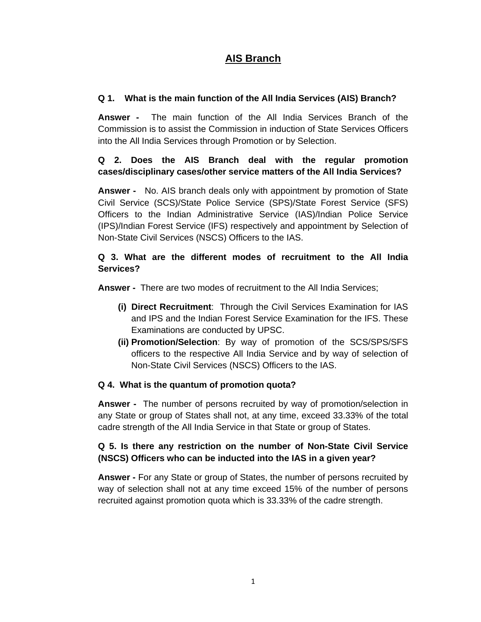# **AIS Branch**

# **Q 1. What is the main function of the All India Services (AIS) Branch?**

**Answer -** The main function of the All India Services Branch of the Commission is to assist the Commission in induction of State Services Officers into the All India Services through Promotion or by Selection.

# **Q 2. Does the AIS Branch deal with the regular promotion cases/disciplinary cases/other service matters of the All India Services?**

**Answer -** No. AIS branch deals only with appointment by promotion of State Civil Service (SCS)/State Police Service (SPS)/State Forest Service (SFS) Officers to the Indian Administrative Service (IAS)/Indian Police Service (IPS)/Indian Forest Service (IFS) respectively and appointment by Selection of Non-State Civil Services (NSCS) Officers to the IAS.

# **Q 3. What are the different modes of recruitment to the All India Services?**

**Answer -** There are two modes of recruitment to the All India Services;

- **(i) Direct Recruitment**: Through the Civil Services Examination for IAS and IPS and the Indian Forest Service Examination for the IFS. These Examinations are conducted by UPSC.
- **(ii) Promotion/Selection**: By way of promotion of the SCS/SPS/SFS officers to the respective All India Service and by way of selection of Non-State Civil Services (NSCS) Officers to the IAS.

#### **Q 4. What is the quantum of promotion quota?**

**Answer -** The number of persons recruited by way of promotion/selection in any State or group of States shall not, at any time, exceed 33.33% of the total cadre strength of the All India Service in that State or group of States.

# **Q 5. Is there any restriction on the number of Non-State Civil Service (NSCS) Officers who can be inducted into the IAS in a given year?**

**Answer -** For any State or group of States, the number of persons recruited by way of selection shall not at any time exceed 15% of the number of persons recruited against promotion quota which is 33.33% of the cadre strength.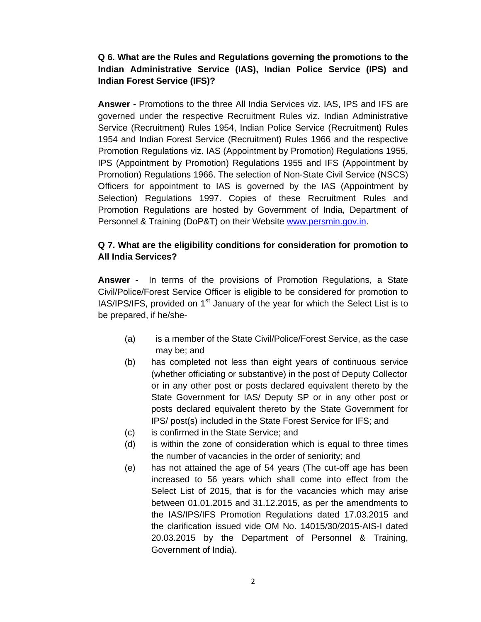# **Q 6. What are the Rules and Regulations governing the promotions to the Indian Administrative Service (IAS), Indian Police Service (IPS) and Indian Forest Service (IFS)?**

**Answer -** Promotions to the three All India Services viz. IAS, IPS and IFS are governed under the respective Recruitment Rules viz. Indian Administrative Service (Recruitment) Rules 1954, Indian Police Service (Recruitment) Rules 1954 and Indian Forest Service (Recruitment) Rules 1966 and the respective Promotion Regulations viz. IAS (Appointment by Promotion) Regulations 1955, IPS (Appointment by Promotion) Regulations 1955 and IFS (Appointment by Promotion) Regulations 1966. The selection of Non-State Civil Service (NSCS) Officers for appointment to IAS is governed by the IAS (Appointment by Selection) Regulations 1997. Copies of these Recruitment Rules and Promotion Regulations are hosted by Government of India, Department of Personnel & Training (DoP&T) on their Website www.persmin.gov.in.

#### **Q 7. What are the eligibility conditions for consideration for promotion to All India Services?**

**Answer -** In terms of the provisions of Promotion Regulations, a State Civil/Police/Forest Service Officer is eligible to be considered for promotion to  $IAS/IPS/IFS$ , provided on 1<sup>st</sup> January of the year for which the Select List is to be prepared, if he/she-

- (a) is a member of the State Civil/Police/Forest Service, as the case may be; and
- (b) has completed not less than eight years of continuous service (whether officiating or substantive) in the post of Deputy Collector or in any other post or posts declared equivalent thereto by the State Government for IAS/ Deputy SP or in any other post or posts declared equivalent thereto by the State Government for IPS/ post(s) included in the State Forest Service for IFS; and
- (c) is confirmed in the State Service; and
- (d) is within the zone of consideration which is equal to three times the number of vacancies in the order of seniority; and
- (e) has not attained the age of 54 years (The cut-off age has been increased to 56 years which shall come into effect from the Select List of 2015, that is for the vacancies which may arise between 01.01.2015 and 31.12.2015, as per the amendments to the IAS/IPS/IFS Promotion Regulations dated 17.03.2015 and the clarification issued vide OM No. 14015/30/2015-AIS-I dated 20.03.2015 by the Department of Personnel & Training, Government of India).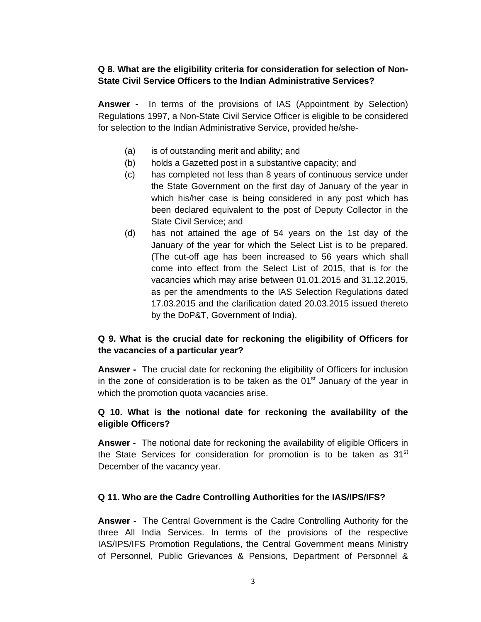### **Q 8. What are the eligibility criteria for consideration for selection of Non-State Civil Service Officers to the Indian Administrative Services?**

**Answer -** In terms of the provisions of IAS (Appointment by Selection) Regulations 1997, a Non-State Civil Service Officer is eligible to be considered for selection to the Indian Administrative Service, provided he/she-

- (a) is of outstanding merit and ability; and
- (b) holds a Gazetted post in a substantive capacity; and
- (c) has completed not less than 8 years of continuous service under the State Government on the first day of January of the year in which his/her case is being considered in any post which has been declared equivalent to the post of Deputy Collector in the State Civil Service; and
- (d) has not attained the age of 54 years on the 1st day of the January of the year for which the Select List is to be prepared. (The cut-off age has been increased to 56 years which shall come into effect from the Select List of 2015, that is for the vacancies which may arise between 01.01.2015 and 31.12.2015, as per the amendments to the IAS Selection Regulations dated 17.03.2015 and the clarification dated 20.03.2015 issued thereto by the DoP&T, Government of India).

# **Q 9. What is the crucial date for reckoning the eligibility of Officers for the vacancies of a particular year?**

**Answer -** The crucial date for reckoning the eligibility of Officers for inclusion in the zone of consideration is to be taken as the  $01<sup>st</sup>$  January of the year in which the promotion quota vacancies arise.

# **Q 10. What is the notional date for reckoning the availability of the eligible Officers?**

**Answer -** The notional date for reckoning the availability of eligible Officers in the State Services for consideration for promotion is to be taken as  $31<sup>st</sup>$ December of the vacancy year.

#### **Q 11. Who are the Cadre Controlling Authorities for the IAS/IPS/IFS?**

**Answer -** The Central Government is the Cadre Controlling Authority for the three All India Services. In terms of the provisions of the respective IAS/IPS/IFS Promotion Regulations, the Central Government means Ministry of Personnel, Public Grievances & Pensions, Department of Personnel &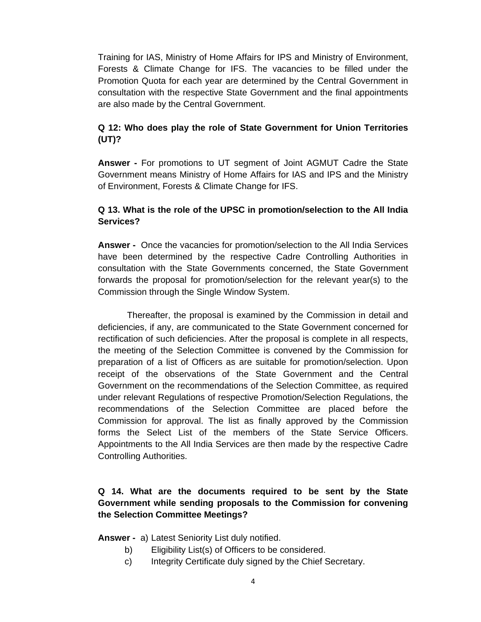Training for IAS, Ministry of Home Affairs for IPS and Ministry of Environment, Forests & Climate Change for IFS. The vacancies to be filled under the Promotion Quota for each year are determined by the Central Government in consultation with the respective State Government and the final appointments are also made by the Central Government.

# **Q 12: Who does play the role of State Government for Union Territories (UT)?**

**Answer -** For promotions to UT segment of Joint AGMUT Cadre the State Government means Ministry of Home Affairs for IAS and IPS and the Ministry of Environment, Forests & Climate Change for IFS.

# **Q 13. What is the role of the UPSC in promotion/selection to the All India Services?**

**Answer -** Once the vacancies for promotion/selection to the All India Services have been determined by the respective Cadre Controlling Authorities in consultation with the State Governments concerned, the State Government forwards the proposal for promotion/selection for the relevant year(s) to the Commission through the Single Window System.

 Thereafter, the proposal is examined by the Commission in detail and deficiencies, if any, are communicated to the State Government concerned for rectification of such deficiencies. After the proposal is complete in all respects, the meeting of the Selection Committee is convened by the Commission for preparation of a list of Officers as are suitable for promotion/selection. Upon receipt of the observations of the State Government and the Central Government on the recommendations of the Selection Committee, as required under relevant Regulations of respective Promotion/Selection Regulations, the recommendations of the Selection Committee are placed before the Commission for approval. The list as finally approved by the Commission forms the Select List of the members of the State Service Officers. Appointments to the All India Services are then made by the respective Cadre Controlling Authorities.

# **Q 14. What are the documents required to be sent by the State Government while sending proposals to the Commission for convening the Selection Committee Meetings?**

**Answer -** a) Latest Seniority List duly notified.

- b) Eligibility List(s) of Officers to be considered.
- c) Integrity Certificate duly signed by the Chief Secretary.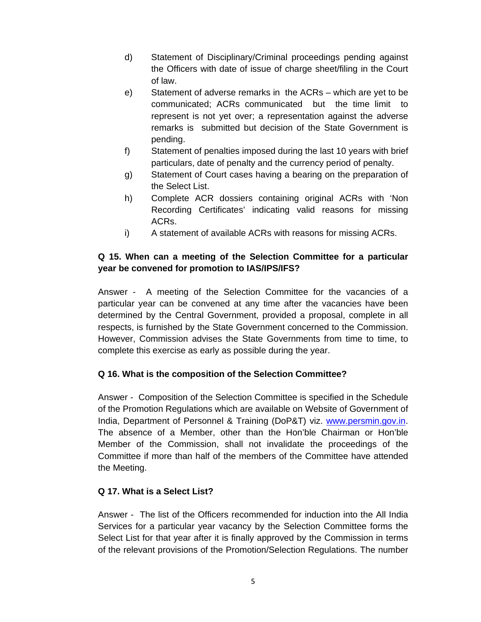- d) Statement of Disciplinary/Criminal proceedings pending against the Officers with date of issue of charge sheet/filing in the Court of law.
- e) Statement of adverse remarks in the ACRs which are yet to be communicated; ACRs communicated but the time limit to represent is not yet over; a representation against the adverse remarks is submitted but decision of the State Government is pending.
- f) Statement of penalties imposed during the last 10 years with brief particulars, date of penalty and the currency period of penalty.
- g) Statement of Court cases having a bearing on the preparation of the Select List.
- h) Complete ACR dossiers containing original ACRs with 'Non Recording Certificates' indicating valid reasons for missing ACRs.
- i) A statement of available ACRs with reasons for missing ACRs.

# **Q 15. When can a meeting of the Selection Committee for a particular year be convened for promotion to IAS/IPS/IFS?**

Answer - A meeting of the Selection Committee for the vacancies of a particular year can be convened at any time after the vacancies have been determined by the Central Government, provided a proposal, complete in all respects, is furnished by the State Government concerned to the Commission. However, Commission advises the State Governments from time to time, to complete this exercise as early as possible during the year.

#### **Q 16. What is the composition of the Selection Committee?**

Answer - Composition of the Selection Committee is specified in the Schedule of the Promotion Regulations which are available on Website of Government of India, Department of Personnel & Training (DoP&T) viz. www.persmin.gov.in. The absence of a Member, other than the Hon'ble Chairman or Hon'ble Member of the Commission, shall not invalidate the proceedings of the Committee if more than half of the members of the Committee have attended the Meeting.

#### **Q 17. What is a Select List?**

Answer - The list of the Officers recommended for induction into the All India Services for a particular year vacancy by the Selection Committee forms the Select List for that year after it is finally approved by the Commission in terms of the relevant provisions of the Promotion/Selection Regulations. The number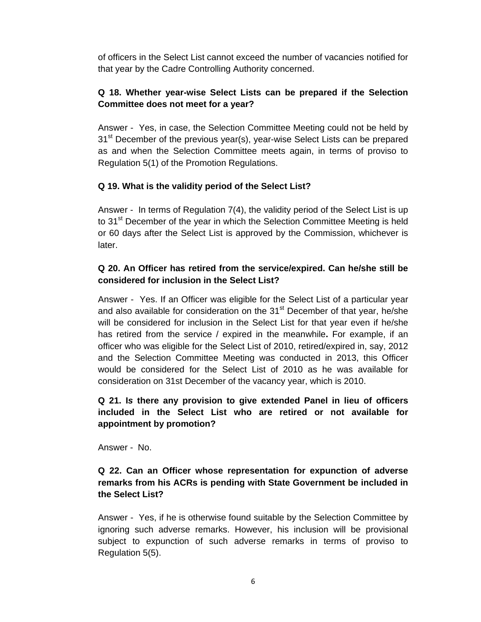of officers in the Select List cannot exceed the number of vacancies notified for that year by the Cadre Controlling Authority concerned.

# **Q 18. Whether year-wise Select Lists can be prepared if the Selection Committee does not meet for a year?**

Answer - Yes, in case, the Selection Committee Meeting could not be held by 31<sup>st</sup> December of the previous year(s), year-wise Select Lists can be prepared as and when the Selection Committee meets again, in terms of proviso to Regulation 5(1) of the Promotion Regulations.

#### **Q 19. What is the validity period of the Select List?**

Answer - In terms of Regulation 7(4), the validity period of the Select List is up to 31<sup>st</sup> December of the year in which the Selection Committee Meeting is held or 60 days after the Select List is approved by the Commission, whichever is later.

#### **Q 20. An Officer has retired from the service/expired. Can he/she still be considered for inclusion in the Select List?**

Answer - Yes. If an Officer was eligible for the Select List of a particular year and also available for consideration on the 31<sup>st</sup> December of that year, he/she will be considered for inclusion in the Select List for that year even if he/she has retired from the service / expired in the meanwhile**.** For example, if an officer who was eligible for the Select List of 2010, retired/expired in, say, 2012 and the Selection Committee Meeting was conducted in 2013, this Officer would be considered for the Select List of 2010 as he was available for consideration on 31st December of the vacancy year, which is 2010.

# **Q 21. I***s* **there any provision to give extended Panel in lieu of officers included in the Select List who are retired or not available for appointment by promotion?**

Answer - No.

#### **Q 22. Can an Officer whose representation for expunction of adverse remarks from his ACRs is pending with State Government be included in the Select List?**

Answer - Yes, if he is otherwise found suitable by the Selection Committee by ignoring such adverse remarks. However, his inclusion will be provisional subject to expunction of such adverse remarks in terms of proviso to Regulation 5(5).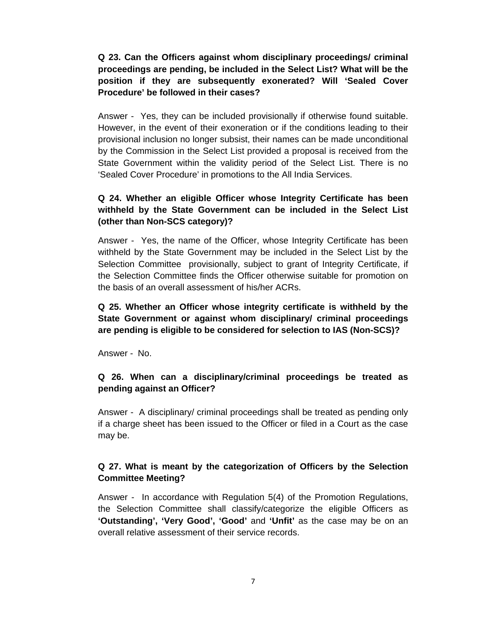**Q 23. Can the Officers against whom disciplinary proceedings/ criminal proceedings are pending, be included in the Select List? What will be the position if they are subsequently exonerated? Will 'Sealed Cover Procedure' be followed in their cases?** 

Answer - Yes, they can be included provisionally if otherwise found suitable. However, in the event of their exoneration or if the conditions leading to their provisional inclusion no longer subsist, their names can be made unconditional by the Commission in the Select List provided a proposal is received from the State Government within the validity period of the Select List. There is no 'Sealed Cover Procedure' in promotions to the All India Services.

# **Q 24. Whether an eligible Officer whose Integrity Certificate has been withheld by the State Government can be included in the Select List (other than Non-SCS category)?**

Answer - Yes, the name of the Officer, whose Integrity Certificate has been withheld by the State Government may be included in the Select List by the Selection Committee provisionally, subject to grant of Integrity Certificate, if the Selection Committee finds the Officer otherwise suitable for promotion on the basis of an overall assessment of his/her ACRs.

# **Q 25. Whether an Officer whose integrity certificate is withheld by the State Government or against whom disciplinary/ criminal proceedings are pending is eligible to be considered for selection to IAS (Non-SCS)?**

Answer - No.

#### **Q 26. When can a disciplinary/criminal proceedings be treated as pending against an Officer?**

Answer - A disciplinary/ criminal proceedings shall be treated as pending only if a charge sheet has been issued to the Officer or filed in a Court as the case may be.

# **Q 27. What is meant by the categorization of Officers by the Selection Committee Meeting?**

Answer - In accordance with Regulation 5(4) of the Promotion Regulations, the Selection Committee shall classify/categorize the eligible Officers as **'Outstanding', 'Very Good', 'Good'** and **'Unfit'** as the case may be on an overall relative assessment of their service records.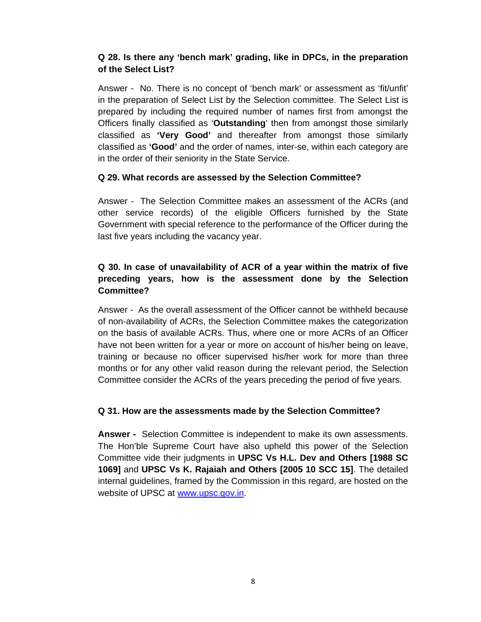# **Q 28. Is there any 'bench mark' grading, like in DPCs, in the preparation of the Select List?**

Answer - No. There is no concept of 'bench mark' or assessment as 'fit/unfit' in the preparation of Select List by the Selection committee. The Select List is prepared by including the required number of names first from amongst the Officers finally classified as '**Outstanding**' then from amongst those similarly classified as **'Very Good'** and thereafter from amongst those similarly classified as **'Good'** and the order of names, inter-se, within each category are in the order of their seniority in the State Service.

#### **Q 29. What records are assessed by the Selection Committee?**

Answer - The Selection Committee makes an assessment of the ACRs (and other service records) of the eligible Officers furnished by the State Government with special reference to the performance of the Officer during the last five years including the vacancy year.

# **Q 30. In case of unavailability of ACR of a year within the matrix of five preceding years, how is the assessment done by the Selection Committee?**

Answer - As the overall assessment of the Officer cannot be withheld because of non-availability of ACRs, the Selection Committee makes the categorization on the basis of available ACRs. Thus, where one or more ACRs of an Officer have not been written for a year or more on account of his/her being on leave, training or because no officer supervised his/her work for more than three months or for any other valid reason during the relevant period, the Selection Committee consider the ACRs of the years preceding the period of five years.

#### **Q 31. How are the assessments made by the Selection Committee?**

**Answer -** Selection Committee is independent to make its own assessments. The Hon'ble Supreme Court have also upheld this power of the Selection Committee vide their judgments in **UPSC Vs H.L. Dev and Others [1988 SC 1069]** and **UPSC Vs K. Rajaiah and Others [2005 10 SCC 15]**. The detailed internal guidelines, framed by the Commission in this regard, are hosted on the website of UPSC at www.upsc.gov.in.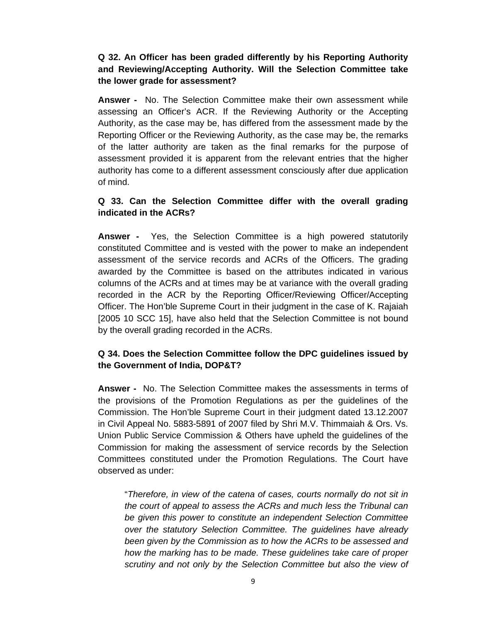#### **Q 32. An Officer has been graded differently by his Reporting Authority and Reviewing/Accepting Authority. Will the Selection Committee take the lower grade for assessment?**

**Answer -** No. The Selection Committee make their own assessment while assessing an Officer's ACR. If the Reviewing Authority or the Accepting Authority, as the case may be, has differed from the assessment made by the Reporting Officer or the Reviewing Authority, as the case may be, the remarks of the latter authority are taken as the final remarks for the purpose of assessment provided it is apparent from the relevant entries that the higher authority has come to a different assessment consciously after due application of mind.

# **Q 33. Can the Selection Committee differ with the overall grading indicated in the ACRs?**

**Answer -** Yes, the Selection Committee is a high powered statutorily constituted Committee and is vested with the power to make an independent assessment of the service records and ACRs of the Officers. The grading awarded by the Committee is based on the attributes indicated in various columns of the ACRs and at times may be at variance with the overall grading recorded in the ACR by the Reporting Officer/Reviewing Officer/Accepting Officer. The Hon'ble Supreme Court in their judgment in the case of K. Rajaiah [2005 10 SCC 15], have also held that the Selection Committee is not bound by the overall grading recorded in the ACRs.

#### **Q 34. Does the Selection Committee follow the DPC guidelines issued by the Government of India, DOP&T?**

**Answer -** No. The Selection Committee makes the assessments in terms of the provisions of the Promotion Regulations as per the guidelines of the Commission. The Hon'ble Supreme Court in their judgment dated 13.12.2007 in Civil Appeal No. 5883-5891 of 2007 filed by Shri M.V. Thimmaiah & Ors. Vs. Union Public Service Commission & Others have upheld the guidelines of the Commission for making the assessment of service records by the Selection Committees constituted under the Promotion Regulations. The Court have observed as under:

"*Therefore, in view of the catena of cases, courts normally do not sit in the court of appeal to assess the ACRs and much less the Tribunal can be given this power to constitute an independent Selection Committee over the statutory Selection Committee. The guidelines have already been given by the Commission as to how the ACRs to be assessed and how the marking has to be made. These guidelines take care of proper scrutiny and not only by the Selection Committee but also the view of*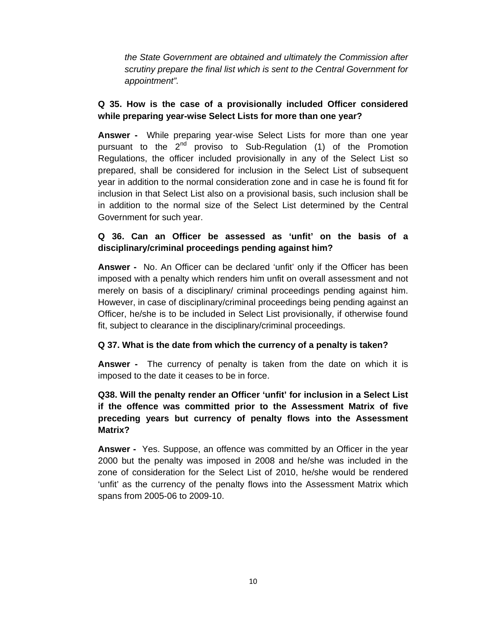*the State Government are obtained and ultimately the Commission after scrutiny prepare the final list which is sent to the Central Government for appointment".*

# **Q 35. How is the case of a provisionally included Officer considered while preparing year-wise Select Lists for more than one year?**

**Answer -** While preparing year-wise Select Lists for more than one year pursuant to the  $2^{nd}$  proviso to Sub-Regulation (1) of the Promotion Regulations, the officer included provisionally in any of the Select List so prepared, shall be considered for inclusion in the Select List of subsequent year in addition to the normal consideration zone and in case he is found fit for inclusion in that Select List also on a provisional basis, such inclusion shall be in addition to the normal size of the Select List determined by the Central Government for such year.

# **Q 36. Can an Officer be assessed as 'unfit' on the basis of a disciplinary/criminal proceedings pending against him?**

**Answer -** No. An Officer can be declared 'unfit' only if the Officer has been imposed with a penalty which renders him unfit on overall assessment and not merely on basis of a disciplinary/ criminal proceedings pending against him. However, in case of disciplinary/criminal proceedings being pending against an Officer, he/she is to be included in Select List provisionally, if otherwise found fit, subject to clearance in the disciplinary/criminal proceedings.

#### **Q 37. What is the date from which the currency of a penalty is taken?**

**Answer -** The currency of penalty is taken from the date on which it is imposed to the date it ceases to be in force.

# **Q38. Will the penalty render an Officer 'unfit' for inclusion in a Select List if the offence was committed prior to the Assessment Matrix of five preceding years but currency of penalty flows into the Assessment Matrix?**

**Answer -** Yes. Suppose, an offence was committed by an Officer in the year 2000 but the penalty was imposed in 2008 and he/she was included in the zone of consideration for the Select List of 2010, he/she would be rendered 'unfit' as the currency of the penalty flows into the Assessment Matrix which spans from 2005-06 to 2009-10.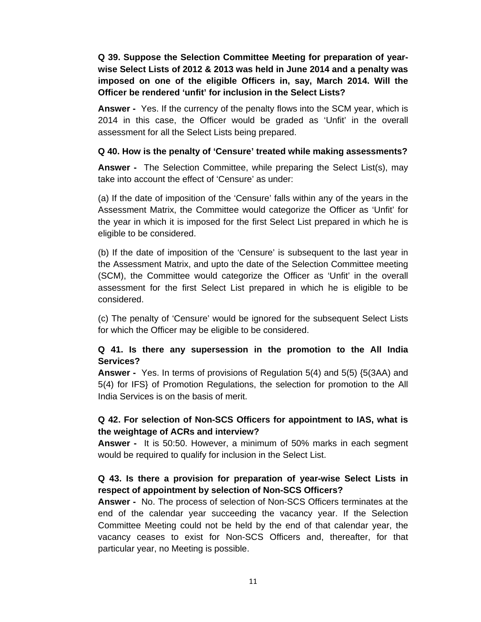**Q 39. Suppose the Selection Committee Meeting for preparation of yearwise Select Lists of 2012 & 2013 was held in June 2014 and a penalty was imposed on one of the eligible Officers in, say, March 2014. Will the Officer be rendered 'unfit' for inclusion in the Select Lists?** 

**Answer -** Yes. If the currency of the penalty flows into the SCM year, which is 2014 in this case, the Officer would be graded as 'Unfit' in the overall assessment for all the Select Lists being prepared.

#### **Q 40. How is the penalty of 'Censure' treated while making assessments?**

**Answer -** The Selection Committee, while preparing the Select List(s), may take into account the effect of 'Censure' as under:

(a) If the date of imposition of the 'Censure' falls within any of the years in the Assessment Matrix, the Committee would categorize the Officer as 'Unfit' for the year in which it is imposed for the first Select List prepared in which he is eligible to be considered.

(b) If the date of imposition of the 'Censure' is subsequent to the last year in the Assessment Matrix, and upto the date of the Selection Committee meeting (SCM), the Committee would categorize the Officer as 'Unfit' in the overall assessment for the first Select List prepared in which he is eligible to be considered.

(c) The penalty of 'Censure' would be ignored for the subsequent Select Lists for which the Officer may be eligible to be considered.

#### **Q 41. Is there any supersession in the promotion to the All India Services?**

**Answer -** Yes. In terms of provisions of Regulation 5(4) and 5(5) {5(3AA) and 5(4) for IFS} of Promotion Regulations, the selection for promotion to the All India Services is on the basis of merit.

#### **Q 42. For selection of Non-SCS Officers for appointment to IAS, what is the weightage of ACRs and interview?**

**Answer -** It is 50:50. However, a minimum of 50% marks in each segment would be required to qualify for inclusion in the Select List.

#### **Q 43. Is there a provision for preparation of year-wise Select Lists in respect of appointment by selection of Non-SCS Officers?**

**Answer -** No. The process of selection of Non-SCS Officers terminates at the end of the calendar year succeeding the vacancy year. If the Selection Committee Meeting could not be held by the end of that calendar year, the vacancy ceases to exist for Non-SCS Officers and, thereafter, for that particular year, no Meeting is possible.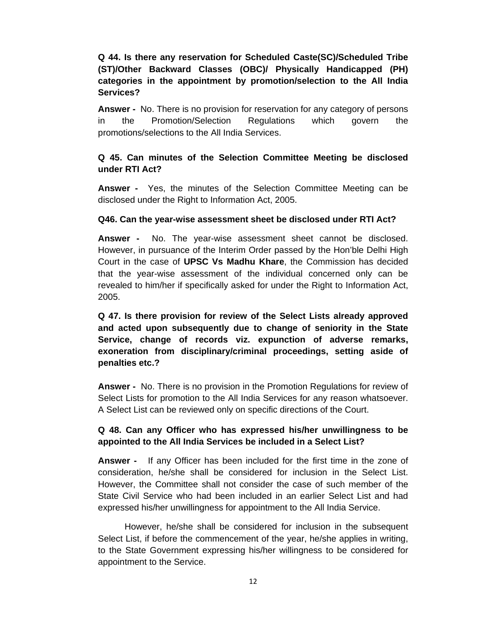# **Q 44. Is there any reservation for Scheduled Caste(SC)/Scheduled Tribe (ST)/Other Backward Classes (OBC)/ Physically Handicapped (PH) categories in the appointment by promotion/selection to the All India Services?**

**Answer -** No. There is no provision for reservation for any category of persons in the Promotion/Selection Regulations which govern the promotions/selections to the All India Services.

#### **Q 45. Can minutes of the Selection Committee Meeting be disclosed under RTI Act?**

**Answer -** Yes, the minutes of the Selection Committee Meeting can be disclosed under the Right to Information Act, 2005.

#### **Q46. Can the year-wise assessment sheet be disclosed under RTI Act?**

**Answer -** No. The year-wise assessment sheet cannot be disclosed. However, in pursuance of the Interim Order passed by the Hon'ble Delhi High Court in the case of **UPSC Vs Madhu Khare**, the Commission has decided that the year-wise assessment of the individual concerned only can be revealed to him/her if specifically asked for under the Right to Information Act, 2005.

**Q 47. Is there provision for review of the Select Lists already approved and acted upon subsequently due to change of seniority in the State Service, change of records viz. expunction of adverse remarks, exoneration from disciplinary/criminal proceedings, setting aside of penalties etc.?** 

**Answer -** No. There is no provision in the Promotion Regulations for review of Select Lists for promotion to the All India Services for any reason whatsoever. A Select List can be reviewed only on specific directions of the Court.

#### **Q 48. Can any Officer who has expressed his/her unwillingness to be appointed to the All India Services be included in a Select List?**

**Answer -** If any Officer has been included for the first time in the zone of consideration, he/she shall be considered for inclusion in the Select List. However, the Committee shall not consider the case of such member of the State Civil Service who had been included in an earlier Select List and had expressed his/her unwillingness for appointment to the All India Service.

However, he/she shall be considered for inclusion in the subsequent Select List, if before the commencement of the year, he/she applies in writing, to the State Government expressing his/her willingness to be considered for appointment to the Service.